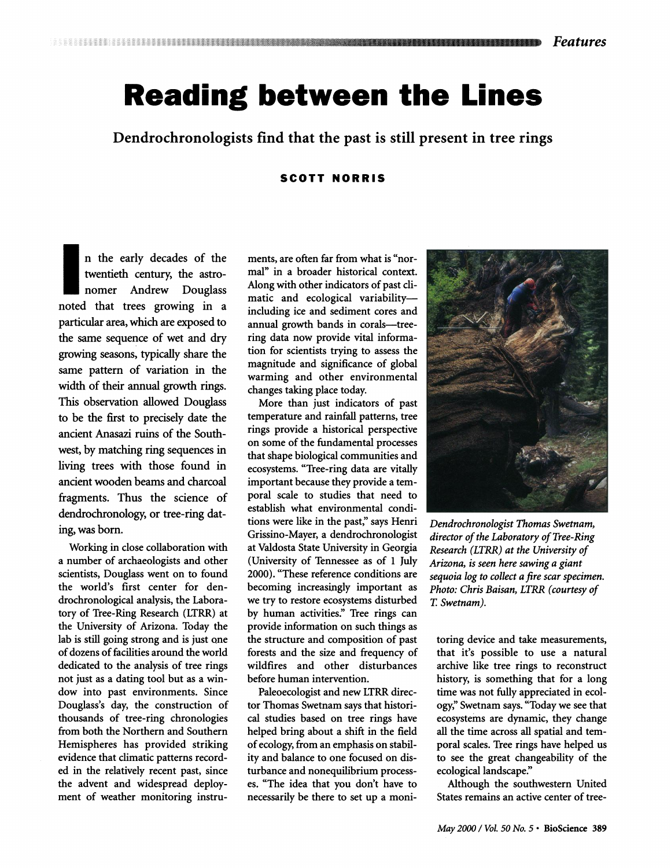# **Reading between the Lines**

**Dendrochronologists find that the past is still present in tree rings** 

#### **SCOTT NORRIS**

**n the early decades of the twentieth century, the astronomer Andrew Douglass noted that trees growing in a particular area, which are exposed to the same sequence of wet and dry growing seasons, typically share the same pattern of variation in the width of their annual growth rings. This observation allowed Douglass to be the first to precisely date the ancient Anasazi ruins of the Southwest, by matching ring sequences in living trees with those found in ancient wooden beams and charcoal fragments. Thus the science of dendrochronology, or tree-ring dating, was born.** 

**Working in close collaboration with a number of archaeologists and other scientists, Douglass went on to found the world's first center for dendrochronological analysis, the Laboratory of Tree-Ring Research (LTRR) at the University of Arizona. Today the lab is still going strong and is just one of dozens of facilities around the world dedicated to the analysis of tree rings not just as a dating tool but as a window into past environments. Since Douglass's day, the construction of thousands of tree-ring chronologies from both the Northern and Southern Hemispheres has provided striking evidence that climatic patterns recorded in the relatively recent past, since**  the advent and widespread deploy**ment of weather monitoring instru-** **ments, are often far from what is "normal" in a broader historical context. Along with other indicators of past climatic and ecological variabilityincluding ice and sediment cores and annual growth bands in corals-treering data now provide vital information for scientists trying to assess the magnitude and significance of global warming and other environmental changes taking place today.** 

**More than just indicators of past temperature and rainfall patterns, tree rings provide a historical perspective on some of the fundamental processes that shape biological communities and ecosystems. "Tree-ring data are vitally important because they provide a temporal scale to studies that need to establish what environmental conditions were like in the past," says Henri Grissino-Mayer, a dendrochronologist at Valdosta State University in Georgia (University of Tennessee as of 1 July 2000). "These reference conditions are becoming increasingly important as we try to restore ecosystems disturbed by human activities." Tree rings can provide information on such things as the structure and composition of past forests and the size and frequency of wildfires and other disturbances before human intervention.** 

**Paleoecologist and new LTRR director Thomas Swetnam says that historical studies based on tree rings have helped bring about a shift in the field of ecology, from an emphasis on stability and balance to one focused on disturbance and nonequilibrium processes. "The idea that you don't have to necessarily be there to set up a moni-**



**Dendrochronologist Thomas Swetnam, director of the Laboratory of Tree-Ring Research (LTRR) at the University of Arizona, is seen here sawing a giant sequoia log to collect a fire scar specimen. Photo: Chris Baisan, LTRR (courtesy of T.** Swetnam).

**toring device and take measurements, that it's possible to use a natural archive like tree rings to reconstruct history, is something that for a long time was not fully appreciated in ecology" Swetnam says. "Today we see that ecosystems are dynamic, they change all the time across all spatial and temporal scales. Tree rings have helped us to see the great changeability of the ecological landscape."** 

**Although the southwestern United States remains an active center of tree-**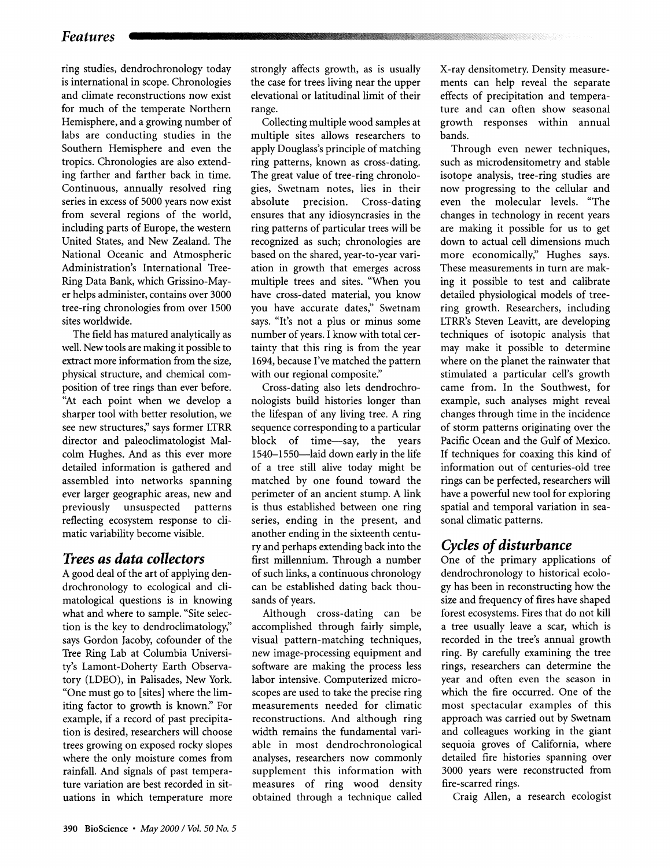## **Features**

**ring studies, dendrochronology today is international in scope. Chronologies and climate reconstructions now exist for much of the temperate Northern Hemisphere, and a growing number of labs are conducting studies in the Southern Hemisphere and even the tropics. Chronologies are also extending farther and farther back in time. Continuous, annually resolved ring series in excess of 5000 years now exist from several regions of the world, including parts of Europe, the western United States, and New Zealand. The National Oceanic and Atmospheric Administration's International Tree-Ring Data Bank, which Grissino-Mayer helps administer, contains over 3000 tree-ring chronologies from over 1500 sites worldwide.** 

**The field has matured analytically as well. New tools are making it possible to extract more information from the size, physical structure, and chemical composition of tree rings than ever before. "At each point when we develop a sharper tool with better resolution, we see new structures,"' says former LTRR director and paleoclimatologist Malcolm Hughes. And as this ever more detailed information is gathered and assembled into networks spanning ever larger geographic areas, new and previously unsuspected patterns reflecting ecosystem response to climatic variability become visible.** 

# **Trees as data collectors**

**A good deal of the art of applying dendrochronology to ecological and climatological questions is in knowing what and where to sample. "Site selection is the key to dendroclimatology," says Gordon Jacoby, cofounder of the Tree Ring Lab at Columbia University's Lamont-Doherty Earth Observatory (LDEO), in Palisades, New York. "One must go to [sites] where the limiting factor to growth is known." For example, if a record of past precipitation is desired, researchers will choose trees growing on exposed rocky slopes where the only moisture comes from rainfall. And signals of past temperature variation are best recorded in situations in which temperature more**  **strongly affects growth, as is usually the case for trees living near the upper elevational or latitudinal limit of their range.** 

**Collecting multiple wood samples at multiple sites allows researchers to apply Douglass's principle of matching ring patterns, known as cross-dating. The great value of tree-ring chronologies, Swetnam notes, lies in their absolute precision. Cross-dating ensures that any idiosyncrasies in the ring patterns of particular trees will be recognized as such; chronologies are based on the shared, year-to-year variation in growth that emerges across multiple trees and sites. "When you have cross-dated material, you know you have accurate dates," Swetnam says. "It's not a plus or minus some number of years. I know with total certainty that this ring is from the year 1694, because I've matched the pattern with our regional composite."** 

**Cross-dating also lets dendrochronologists build histories longer than the lifespan of any living tree. A ring sequence corresponding to a particular block of time-say, the years 1540-1550-laid down early in the life of a tree still alive today might be matched by one found toward the perimeter of an ancient stump. A link is thus established between one ring series, ending in the present, and another ending in the sixteenth century and perhaps extending back into the first millennium. Through a number of such links, a continuous chronology can be established dating back thousands of years.** 

**Although cross-dating can be accomplished through fairly simple, visual pattern-matching techniques, new image-processing equipment and software are making the process less labor intensive. Computerized microscopes are used to take the precise ring measurements needed for climatic reconstructions. And although ring width remains the fundamental variable in most dendrochronological analyses, researchers now commonly supplement this information with measures of ring wood density obtained through a technique called**  **X-ray densitometry. Density measurements can help reveal the separate effects of precipitation and temperature and can often show seasonal growth responses within annual bands.** 

<u> Kabupatèn Sabadan Samudi Kabupatèn Sabadan Sabadar Samudi Kabupatèn Sabadar Sabadar Sabadar Samudi Kabupatèn</u>

**Through even newer techniques, such as microdensitometry and stable isotope analysis, tree-ring studies are now progressing to the cellular and even the molecular levels. "The changes in technology in recent years are making it possible for us to get down to actual cell dimensions much more economically," Hughes says. These measurements in turn are making it possible to test and calibrate detailed physiological models of treering growth. Researchers, including LTRR's Steven Leavitt, are developing techniques of isotopic analysis that may make it possible to determine where on the planet the rainwater that stimulated a particular cell's growth came from. In the Southwest, for example, such analyses might reveal changes through time in the incidence of storm patterns originating over the Pacific Ocean and the Gulf of Mexico. If techniques for coaxing this kind of information out of centuries-old tree rings can be perfected, researchers will have a powerful new tool for exploring spatial and temporal variation in seasonal climatic patterns.** 

# **Cycles of disturbance**

**One of the primary applications of dendrochronology to historical ecology has been in reconstructing how the size and frequency of fires have shaped forest ecosystems. Fires that do not kill a tree usually leave a scar, which is recorded in the tree's annual growth ring. By carefully examining the tree rings, researchers can determine the year and often even the season in which the fire occurred. One of the most spectacular examples of this approach was carried out by Swetnam and colleagues working in the giant sequoia groves of California, where detailed fire histories spanning over 3000 years were reconstructed from fire-scarred rings.** 

**Craig Allen, a research ecologist**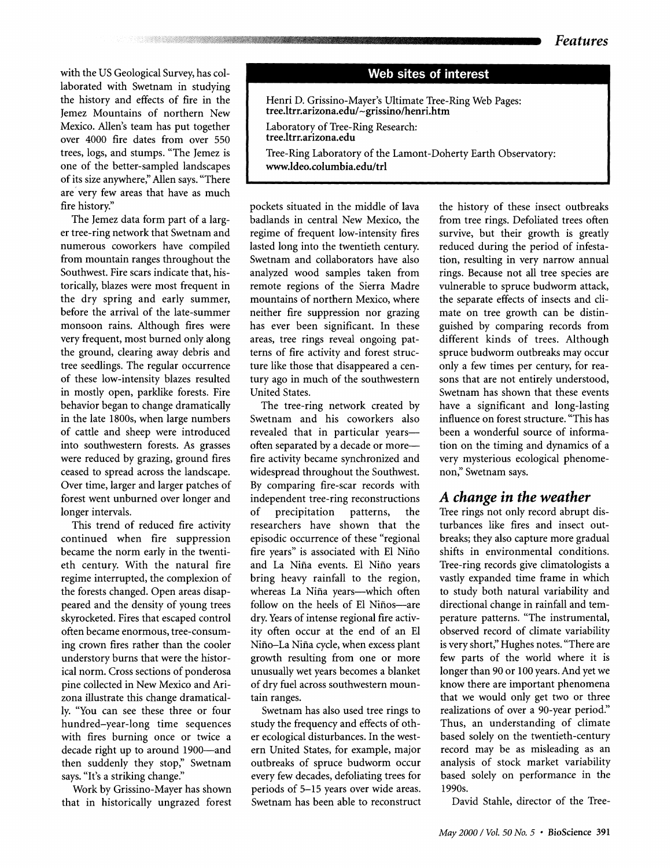**Features** 

**with the US Geological Survey, has collaborated with Swetnam in studying the history and effects of fire in the Jemez Mountains of northern New Mexico. Allen's team has put together over 4000 fire dates from over 550 trees, logs, and stumps. "The Jemez is one of the better-sampled landscapes of its size anywhere," Allen says. "There are very few areas that have as much fire history."** 

<u> 1999 - Jan Barton, martin amerikan ba</u>

**The Jemez data form part of a larger tree-ring network that Swetnam and numerous coworkers have compiled from mountain ranges throughout the Southwest. Fire scars indicate that, historically, blazes were most frequent in the dry spring and early summer, before the arrival of the late-summer monsoon rains. Although fires were very frequent, most burned only along the ground, clearing away debris and tree seedlings. The regular occurrence of these low-intensity blazes resulted in mostly open, parklike forests. Fire behavior began to change dramatically in the late 1800s, when large numbers of cattle and sheep were introduced into southwestern forests. As grasses were reduced by grazing, ground fires ceased to spread across the landscape. Over time, larger and larger patches of forest went unburned over longer and longer intervals.** 

**This trend of reduced fire activity continued when fire suppression became the norm early in the twentieth century. With the natural fire regime interrupted, the complexion of the forests changed. Open areas disappeared and the density of young trees skyrocketed. Fires that escaped control often became enormous, tree-consuming crown fires rather than the cooler understory burns that were the historical norm. Cross sections of ponderosa pine collected in New Mexico and Arizona illustrate this change dramatically. "You can see these three or four hundred-year-long time sequences with fires burning once or twice a decade right up to around 1900-and then suddenly they stop," Swetnam says. "It's a striking change."** 

**Work by Grissino-Mayer has shown that in historically ungrazed forest** 

#### **Web sites of interest**

**Henri D. Grissino-Mayer's Ultimate Tree-Ring Web Pages: tree.ltrr.arizona.edu/~grissino/henri.htm Laboratory of Tree-Ring Research: tree.ltrr.arizona.edu Tree-Ring Laboratory of the Lamont-Doherty Earth Observatory: www.ldeo.columbia.edu/trl** 

**pockets situated in the middle of lava badlands in central New Mexico, the regime of frequent low-intensity fires lasted long into the twentieth century. Swetnam and collaborators have also analyzed wood samples taken from remote regions of the Sierra Madre mountains of northern Mexico, where neither fire suppression nor grazing has ever been significant. In these areas, tree rings reveal ongoing patterns of fire activity and forest structure like those that disappeared a century ago in much of the southwestern United States.** 

**The tree-ring network created by Swetnam and his coworkers also**  revealed that in particular years**often separated by a decade or more- fire activity became synchronized and widespread throughout the Southwest. By comparing fire-scar records with independent tree-ring reconstructions**  precipitation **researchers have shown that the episodic occurrence of these "regional fire years" is associated with El Nifio and La Nifia events. El Nifio years bring heavy rainfall to the region,**  whereas La Niña years--which often follow on the heels of El Niños-are **dry. Years of intense regional fire activity often occur at the end of an El Nifio-La Nifia cycle, when excess plant growth resulting from one or more unusually wet years becomes a blanket of dry fuel across southwestern mountain ranges.** 

**Swetnam has also used tree rings to study the frequency and effects of other ecological disturbances. In the western United States, for example, major outbreaks of spruce budworm occur every few decades, defoliating trees for periods of 5-15 years over wide areas. Swetnam has been able to reconstruct**  **the history of these insect outbreaks from tree rings. Defoliated trees often survive, but their growth is greatly reduced during the period of infestation, resulting in very narrow annual rings. Because not all tree species are vulnerable to spruce budworm attack, the separate effects of insects and climate on tree growth can be distinguished by comparing records from different kinds of trees. Although spruce budworm outbreaks may occur only a few times per century, for reasons that are not entirely understood, Swetnam has shown that these events have a significant and long-lasting influence on forest structure. "This has been a wonderful source of information on the timing and dynamics of a very mysterious ecological phenomenon," Swetnam says.** 

## **A change in the weather**

**Tree rings not only record abrupt disturbances like fires and insect outbreaks; they also capture more gradual shifts in environmental conditions. Tree-ring records give climatologists a vastly expanded time frame in which to study both natural variability and directional change in rainfall and temperature patterns. "The instrumental, observed record of climate variability is very short," Hughes notes. "There are few parts of the world where it is longer than 90 or 100 years. And yet we know there are important phenomena that we would only get two or three realizations of over a 90-year period." Thus, an understanding of climate based solely on the twentieth-century record may be as misleading as an analysis of stock market variability based solely on performance in the 1990s.** 

**David Stahle, director of the Tree-**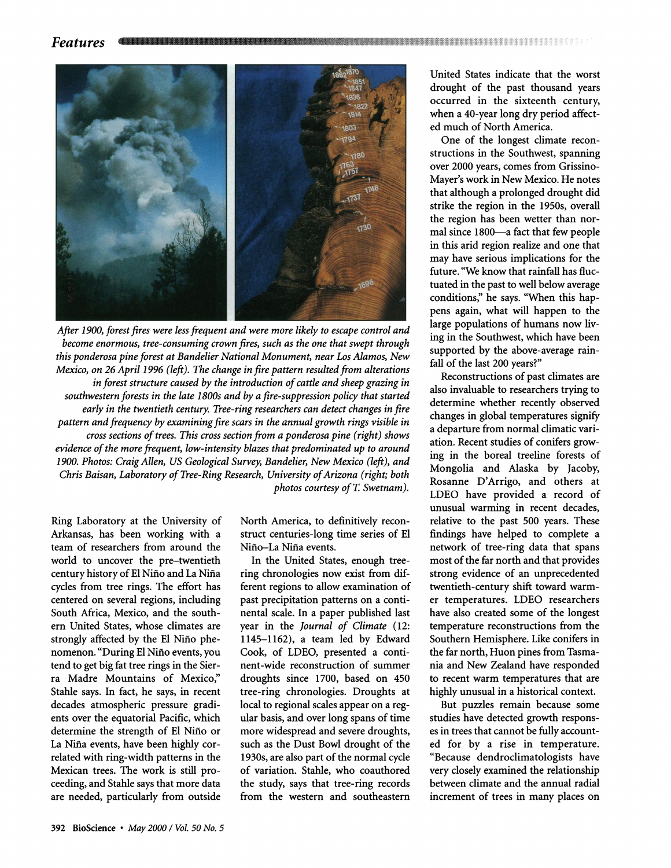

**After 1900, forest fires were less frequent and were more likely to escape control and become enormous, tree-consuming crown fires, such as the one that swept through this ponderosa pine forest at Bandelier National Monument, near Los Alamos, New Mexico, on 26 April 1996 (left). The change in fire pattern resulted from alterations in forest structure caused by the introduction of cattle and sheep grazing in southwestern forests in the late 1800s and by a fire-suppression policy that started early in the twentieth century. Tree-ring researchers can detect changes in fire pattern and frequency by examining fire scars in the annual growth rings visible in cross sections of trees. This cross section from a ponderosa pine (right) shows evidence of the more frequent, low-intensity blazes that predominated up to around 1900. Photos: Craig Allen, US Geological Survey, Bandelier, New Mexico (left), and Chris Baisan, Laboratory of Tree-Ring Research, University of Arizona (right; both**  photos courtesy of T. Swetnam).

**Ring Laboratory at the University of Arkansas, has been working with a team of researchers from around the world to uncover the pre-twentieth century history of El Nifio and La Nifia cycles from tree rings. The effort has centered on several regions, including South Africa, Mexico, and the southern United States, whose climates are strongly affected by the El Nifio phenomenon. "During El Nifio events, you tend to get big fat tree rings in the Sierra Madre Mountains of Mexico," Stahle says. In fact, he says, in recent decades atmospheric pressure gradients over the equatorial Pacific, which determine the strength of El Niflo or La Nifia events, have been highly correlated with ring-width patterns in the Mexican trees. The work is still proceeding, and Stahle says that more data are needed, particularly from outside** 

**North America, to definitively reconstruct centuries-long time series of El Nifio-La Nifia events.** 

**In the United States, enough treering chronologies now exist from different regions to allow examination of past precipitation patterns on a continental scale. In a paper published last year in the Journal of Climate (12: 1145-1162), a team led by Edward Cook, of LDEO, presented a continent-wide reconstruction of summer droughts since 1700, based on 450 tree-ring chronologies. Droughts at local to regional scales appear on a regular basis, and over long spans of time more widespread and severe droughts, such as the Dust Bowl drought of the 1930s, are also part of the normal cycle of variation. Stahle, who coauthored the study, says that tree-ring records from the western and southeastern**  **United States indicate that the worst drought of the past thousand years occurred in the sixteenth century, when a 40-year long dry period affected much of North America.** 

**One of the longest climate reconstructions in the Southwest, spanning over 2000 years, comes from Grissino-Mayer's work in New Mexico. He notes that although a prolonged drought did strike the region in the 1950s, overall the region has been wetter than normal since 1800-a fact that few people in this arid region realize and one that may have serious implications for the future. "We know that rainfall has fluctuated in the past to well below average conditions," he says. "When this happens again, what will happen to the large populations of humans now living in the Southwest, which have been supported by the above-average rainfall of the last 200 years?"** 

**Reconstructions of past climates are also invaluable to researchers trying to determine whether recently observed changes in global temperatures signify a departure from normal climatic variation. Recent studies of conifers growing in the boreal treeline forests of Mongolia and Alaska by Jacoby, Rosanne D'Arrigo, and others at LDEO have provided a record of unusual warming in recent decades, relative to the past 500 years. These findings have helped to complete a network of tree-ring data that spans most of the far north and that provides strong evidence of an unprecedented twentieth-century shift toward warmer temperatures. LDEO researchers have also created some of the longest temperature reconstructions from the Southern Hemisphere. Like conifers in the far north, Huon pines from Tasmania and New Zealand have responded to recent warm temperatures that are highly unusual in a historical context.** 

**But puzzles remain because some studies have detected growth responses in trees that cannot be fully accounted for by a rise in temperature. "Because dendroclimatologists have very closely examined the relationship between climate and the annual radial increment of trees in many places on**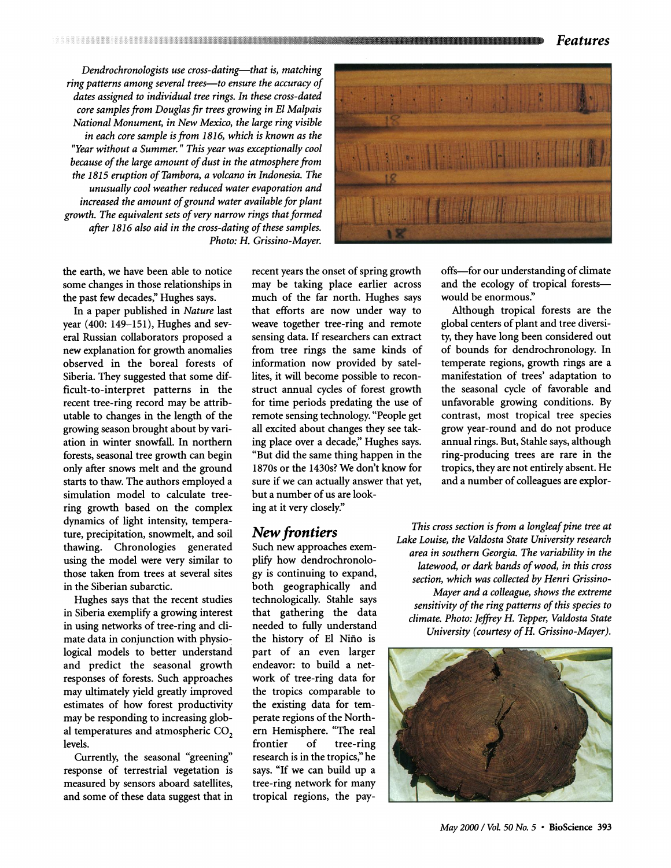**Dendrochronologists use cross-dating-that is, matching**  ring patterns among several trees- to ensure the accuracy of **dates assigned to individual tree rings. In these cross-dated core samples from Douglas fir trees growing in El Malpais National Monument, in New Mexico, the large ring visible in each core sample is from 1816, which is known as the "Year without a Summer." This year was exceptionally cool because of the large amount of dust in the atmosphere from the 1815 eruption of Tambora, a volcano in Indonesia. The**  unusually cool weather reduced water evaporation and **increased the amount of ground water available for plant growth. The equivalent sets of very narrow rings that formed after 1816 also aid in the cross-dating of these samples. Photo: H. Grissino-Mayer.** 



**the earth, we have been able to notice some changes in those relationships in the past few decades," Hughes says.** 

**In a paper published in Nature last year (400: 149-151), Hughes and several Russian collaborators proposed a new explanation for growth anomalies observed in the boreal forests of Siberia. They suggested that some difficult-to-interpret patterns in the recent tree-ring record may be attributable to changes in the length of the growing season brought about by variation in winter snowfall. In northern forests, seasonal tree growth can begin only after snows melt and the ground starts to thaw. The authors employed a simulation model to calculate treering growth based on the complex dynamics of light intensity, temperature, precipitation, snowmelt, and soil thawing. Chronologies generated using the model were very similar to those taken from trees at several sites in the Siberian subarctic.** 

**Hughes says that the recent studies in Siberia exemplify a growing interest in using networks of tree-ring and climate data in conjunction with physiological models to better understand and predict the seasonal growth responses of forests. Such approaches may ultimately yield greatly improved estimates of how forest productivity**  may be responding to increasing global temperatures and atmospheric CO<sub>2</sub> **levels.** 

**Currently, the seasonal "greening" response of terrestrial vegetation is measured by sensors aboard satellites, and some of these data suggest that in** 

**recent years the onset of spring growth may be taking place earlier across much of the far north. Hughes says that efforts are now under way to weave together tree-ring and remote sensing data. If researchers can extract from tree rings the same kinds of information now provided by satellites, it will become possible to reconstruct annual cycles of forest growth for time periods predating the use of remote sensing technology. "People get all excited about changes they see taking place over a decade," Hughes says. "But did the same thing happen in the 1870s or the 1430s? We don't know for sure if we can actually answer that yet, but a number of us are looking at it very closely."** 

## **New frontiers**

**Such new approaches exemplify how dendrochronology is continuing to expand, both geographically and technologically. Stahle says that gathering the data needed to fully understand the history of El Nifio is part of an even larger endeavor: to build a network of tree-ring data for the tropics comparable to the existing data for temperate regions of the Northern Hemisphere. "The real frontier of tree-ring research is in the tropics," he says. "If we can build up a tree-ring network for many tropical regions, the pay-** **offs-for our understanding of climate and the ecology of tropical forestswould be enormous."** 

**Although tropical forests are the global centers of plant and tree diversity, they have long been considered out of bounds for dendrochronology. In temperate regions, growth rings are a manifestation of trees' adaptation to the seasonal cycle of favorable and unfavorable growing conditions. By contrast, most tropical tree species grow year-round and do not produce annual rings. But, Stahle says, although ring-producing trees are rare in the tropics, they are not entirely absent. He and a number of colleagues are explor-**

**This cross section is from a longleaf pine tree at Lake Louise, the Valdosta State University research area in southern Georgia. The variability in the latewood, or dark bands of wood, in this cross section, which was collected by Henri Grissino-Mayer and a colleague, shows the extreme sensitivity of the ring patterns of this species to climate. Photo: Jeffrey H. Tepper, Valdosta State University (courtesy of H. Grissino-Mayer).**